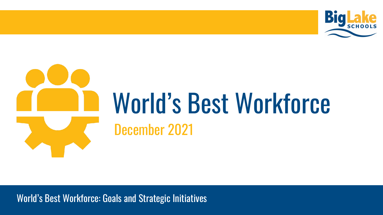

# World's Best Workforce December 2021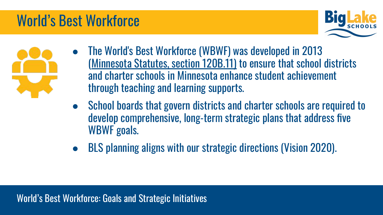#### World's Best Workforce





- The World's Best Workforce (WBWF) was developed in 2013 ([Minnesota Statutes, section 120B.11\)](https://www.revisor.mn.gov/statutes/cite/120B.11) to ensure that school districts and charter schools in Minnesota enhance student achievement through teaching and learning supports.
- School boards that govern districts and charter schools are required to develop comprehensive, long-term strategic plans that address five WBWF goals.
- BLS planning aligns with our strategic directions (Vision 2020).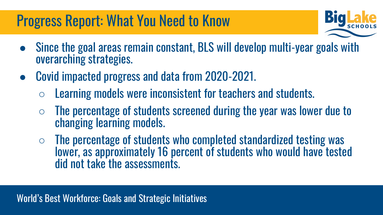#### Progress Report: What You Need to Know



- Since the goal areas remain constant, BLS will develop multi-year goals with overarching strategies.
- Covid impacted progress and data from 2020-2021.
	- $\circ$  Learning models were inconsistent for teachers and students.
	- $\circ$  The percentage of students screened during the year was lower due to changing learning models.
	- $\circ$  The percentage of students who completed standardized testing was lower, as approximately 16 percent of students who would have tested did not take the assessments.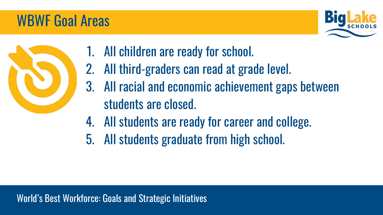#### WBWF Goal Areas





- 1. All children are ready for school.
- 2. All third-graders can read at grade level.
- 3. All racial and economic achievement gaps between students are closed.
- 4. All students are ready for career and college.
- 5. All students graduate from high school.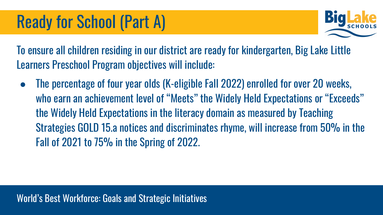

To ensure all children residing in our district are ready for kindergarten, Big Lake Little Learners Preschool Program objectives will include:

The percentage of four year olds (K-eligible Fall 2022) enrolled for over 20 weeks, who earn an achievement level of "Meets" the Widely Held Expectations or "Exceeds" the Widely Held Expectations in the literacy domain as measured by Teaching Strategies GOLD 15.a notices and discriminates rhyme, will increase from 50% in the Fall of 2021 to 75% in the Spring of 2022.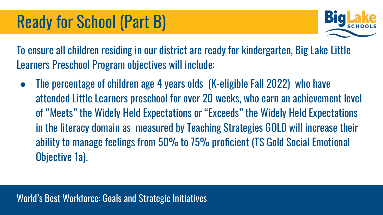

To ensure all children residing in our district are ready for kindergarten, Big Lake Little Learners Preschool Program objectives will include:

The percentage of children age 4 years olds (K-eligible Fall 2022) who have attended Little Learners preschool for over 20 weeks, who earn an achievement level of "Meets" the Widely Held Expectations or "Exceeds" the Widely Held Expectations in the literacy domain as measured by Teaching Strategies GOLD will increase their ability to manage feelings from 50% to 75% proficient (TS Gold Social Emotional Objective 1a).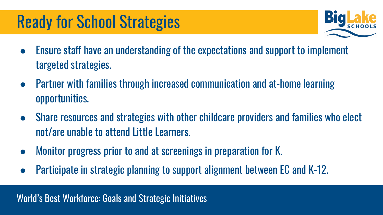### Ready for School Strategies



- Ensure staff have an understanding of the expectations and support to implement targeted strategies.
- Partner with families through increased communication and at-home learning opportunities.
- Share resources and strategies with other childcare providers and families who elect not/are unable to attend Little Learners.
- Monitor progress prior to and at screenings in preparation for K.
- Participate in strategic planning to support alignment between EC and K-12.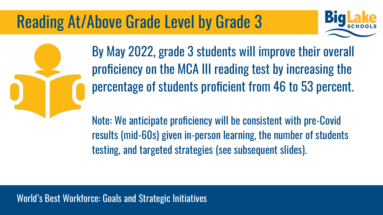# Reading At/Above Grade Level by Grade 3





By May 2022, grade 3 students will improve their overall proficiency on the MCA III reading test by increasing the percentage of students proficient from 46 to 53 percent.

Note: We anticipate proficiency will be consistent with pre-Covid results (mid-60s) given in-person learning, the number of students testing, and targeted strategies (see subsequent slides).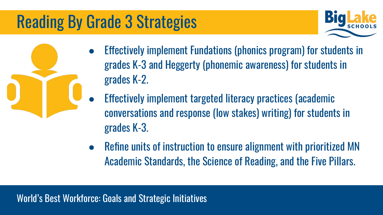# Reading By Grade 3 Strategies



- Effectively implement Fundations (phonics program) for students in grades K-3 and Heggerty (phonemic awareness) for students in grades K-2.
	- Effectively implement targeted literacy practices (academic conversations and response (low stakes) writing) for students in grades K-3.
	- Refine units of instruction to ensure alignment with prioritized MN Academic Standards, the Science of Reading, and the Five Pillars.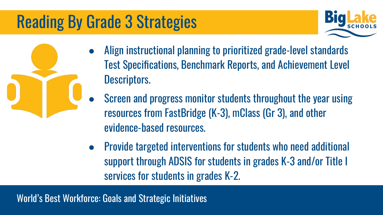# Reading By Grade 3 Strategies



- Align instructional planning to prioritized grade-level standards Test Specifications, Benchmark Reports, and Achievement Level Descriptors.
- Screen and progress monitor students throughout the year using resources from FastBridge (K-3), mClass (Gr 3), and other evidence-based resources.
- Provide targeted interventions for students who need additional support through ADSIS for students in grades K-3 and/or Title I services for students in grades K-2.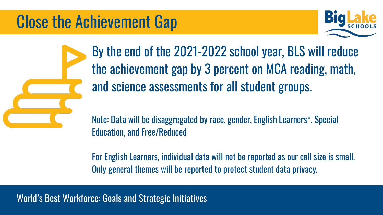#### Close the Achievement Gap



By the end of the 2021-2022 school year, BLS will reduce the achievement gap by 3 percent on MCA reading, math, and science assessments for all student groups.

Note: Data will be disaggregated by race, gender, English Learners\*, Special Education, and Free/Reduced

For English Learners, individual data will not be reported as our cell size is small. Only general themes will be reported to protect student data privacy.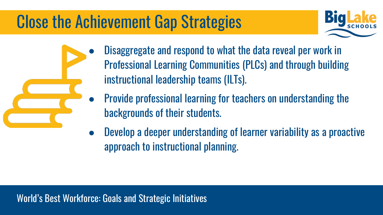## Close the Achievement Gap Strategies



- Disaggregate and respond to what the data reveal per work in Professional Learning Communities (PLCs) and through building instructional leadership teams (ILTs).
	- Provide professional learning for teachers on understanding the backgrounds of their students.
- Develop a deeper understanding of learner variability as a proactive approach to instructional planning.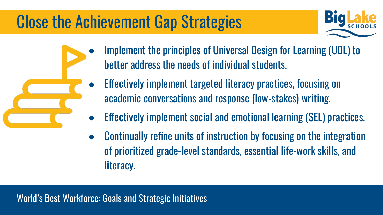## Close the Achievement Gap Strategies



- Implement the principles of Universal Design for Learning (UDL) to better address the needs of individual students.
- Effectively implement targeted literacy practices, focusing on academic conversations and response (low-stakes) writing.
- Effectively implement social and emotional learning (SEL) practices.
- Continually refine units of instruction by focusing on the integration of prioritized grade-level standards, essential life-work skills, and literacy.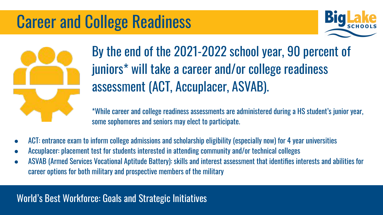#### Career and College Readiness





#### By the end of the 2021-2022 school year, 90 percent of juniors\* will take a career and/or college readiness assessment (ACT, Accuplacer, ASVAB).

\*While career and college readiness assessments are administered during a HS student's junior year, some sophomores and seniors may elect to participate.

- ACT: entrance exam to inform college admissions and scholarship eligibility (especially now) for 4 year universities
- Accuplacer: placement test for students interested in attending community and/or technical colleges
- ASVAB (Armed Services Vocational Aptitude Battery): skills and interest assessment that identifies interests and abilities for career options for both military and prospective members of the military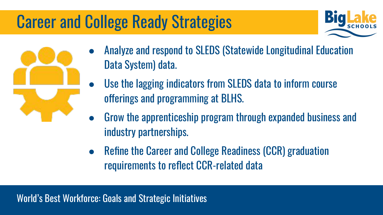# Career and College Ready Strategies



- Analyze and respond to SLEDS (Statewide Longitudinal Education Data System) data.
	- Use the lagging indicators from SLEDS data to inform course offerings and programming at BLHS.
	- Grow the apprenticeship program through expanded business and industry partnerships.
	- Refine the Career and College Readiness (CCR) graduation requirements to reflect CCR-related data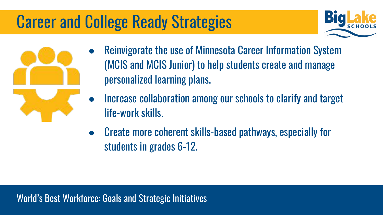# Career and College Ready Strategies





- Reinvigorate the use of Minnesota Career Information System (MCIS and MCIS Junior) to help students create and manage personalized learning plans.
- Increase collaboration among our schools to clarify and target life-work skills.
- Create more coherent skills-based pathways, especially for students in grades 6-12.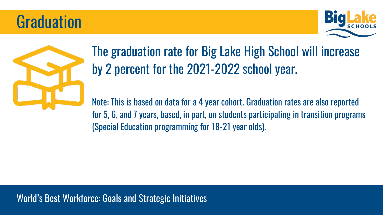#### **Graduation**





#### The graduation rate for Big Lake High School will increase by 2 percent for the 2021-2022 school year.

Note: This is based on data for a 4 year cohort. Graduation rates are also reported for 5, 6, and 7 years, based, in part, on students participating in transition programs (Special Education programming for 18-21 year olds).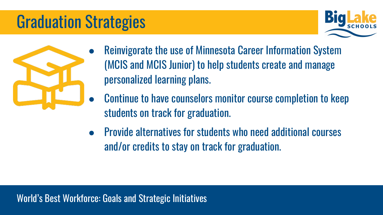# Graduation Strategies





- Reinvigorate the use of Minnesota Career Information System (MCIS and MCIS Junior) to help students create and manage personalized learning plans.
	- Continue to have counselors monitor course completion to keep students on track for graduation.
- Provide alternatives for students who need additional courses and/or credits to stay on track for graduation.